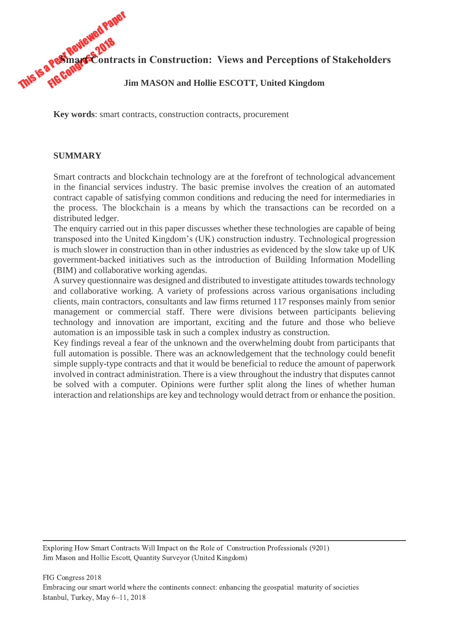

**Key words**: smart contracts, construction contracts, procurement

#### **SUMMARY**

Smart contracts and blockchain technology are at the forefront of technological advancement in the financial services industry. The basic premise involves the creation of an automated contract capable of satisfying common conditions and reducing the need for intermediaries in the process. The blockchain is a means by which the transactions can be recorded on a distributed ledger.

The enquiry carried out in this paper discusses whether these technologies are capable of being transposed into the United Kingdom's (UK) construction industry. Technological progression is much slower in construction than in other industries as evidenced by the slow take up of UK government-backed initiatives such as the introduction of Building Information Modelling (BIM) and collaborative working agendas.

A survey questionnaire was designed and distributed to investigate attitudes towards technology and collaborative working. A variety of professions across various organisations including clients, main contractors, consultants and law firms returned 117 responses mainly from senior management or commercial staff. There were divisions between participants believing technology and innovation are important, exciting and the future and those who believe automation is an impossible task in such a complex industry as construction.

Key findings reveal a fear of the unknown and the overwhelming doubt from participants that full automation is possible. There was an acknowledgement that the technology could benefit simple supply-type contracts and that it would be beneficial to reduce the amount of paperwork involved in contract administration. There is a view throughout the industry that disputes cannot be solved with a computer. Opinions were further split along the lines of whether human interaction and relationships are key and technology would detract from or enhance the position.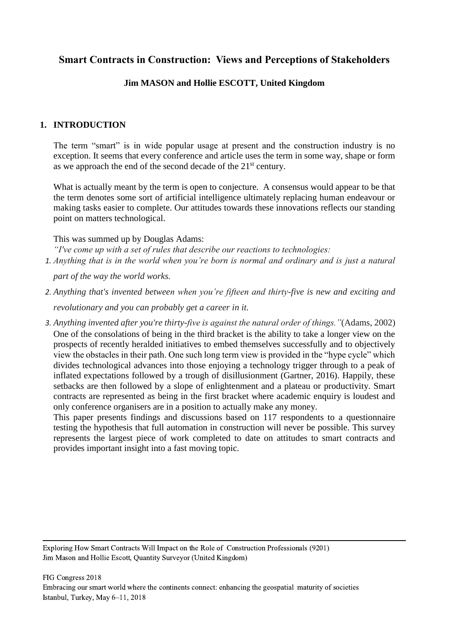# **Smart Contracts in Construction: Views and Perceptions of Stakeholders**

## **Jim MASON and Hollie ESCOTT, United Kingdom**

### **1. INTRODUCTION**

The term "smart" is in wide popular usage at present and the construction industry is no exception. It seems that every conference and article uses the term in some way, shape or form as we approach the end of the second decade of the  $21<sup>st</sup>$  century.

What is actually meant by the term is open to conjecture. A consensus would appear to be that the term denotes some sort of artificial intelligence ultimately replacing human endeavour or making tasks easier to complete. Our attitudes towards these innovations reflects our standing point on matters technological.

This was summed up by Douglas Adams:

*"I've come up with a set of rules that describe our reactions to technologies:* 

*1. Anything that is in the world when you're born is normal and ordinary and is just a natural* 

*part of the way the world works.* 

- *2. Anything that's invented between when you're fifteen and thirty-five is new and exciting and revolutionary and you can probably get a career in it.*
- *3. Anything invented after you're thirty-five is against the natural order of things."*(Adams, 2002) One of the consolations of being in the third bracket is the ability to take a longer view on the prospects of recently heralded initiatives to embed themselves successfully and to objectively view the obstacles in their path. One such long term view is provided in the "hype cycle" which divides technological advances into those enjoying a technology trigger through to a peak of inflated expectations followed by a trough of disillusionment (Gartner, 2016). Happily, these setbacks are then followed by a slope of enlightenment and a plateau or productivity. Smart contracts are represented as being in the first bracket where academic enquiry is loudest and only conference organisers are in a position to actually make any money.

This paper presents findings and discussions based on 117 respondents to a questionnaire testing the hypothesis that full automation in construction will never be possible. This survey represents the largest piece of work completed to date on attitudes to smart contracts and provides important insight into a fast moving topic.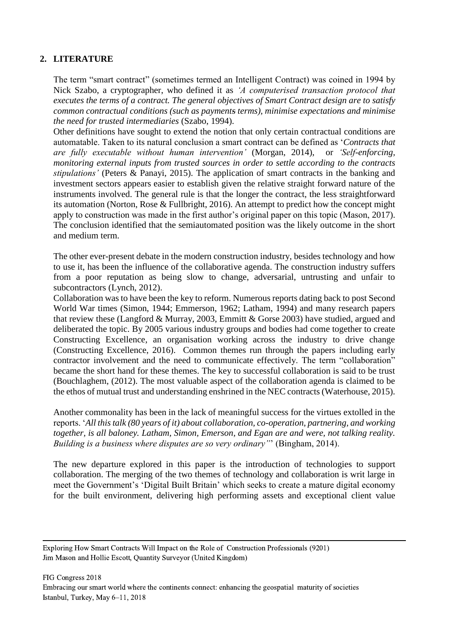### **2. LITERATURE**

The term "smart contract" (sometimes termed an Intelligent Contract) was coined in 1994 by Nick Szabo, a cryptographer, who defined it as *'A computerised transaction protocol that executes the terms of a contract. The general objectives of Smart Contract design are to satisfy common contractual conditions (such as payments terms), minimise expectations and minimise the need for trusted intermediaries* (Szabo, 1994).

Other definitions have sought to extend the notion that only certain contractual conditions are automatable. Taken to its natural conclusion a smart contract can be defined as '*Contracts that are fully executable without human intervention'* (Morgan, 2014), or *'Self-enforcing, monitoring external inputs from trusted sources in order to settle according to the contracts stipulations'* (Peters & Panayi, 2015). The application of smart contracts in the banking and investment sectors appears easier to establish given the relative straight forward nature of the instruments involved. The general rule is that the longer the contract, the less straightforward its automation (Norton, Rose & Fullbright, 2016). An attempt to predict how the concept might apply to construction was made in the first author's original paper on this topic (Mason, 2017). The conclusion identified that the semiautomated position was the likely outcome in the short and medium term.

The other ever-present debate in the modern construction industry, besides technology and how to use it, has been the influence of the collaborative agenda. The construction industry suffers from a poor reputation as being slow to change, adversarial, untrusting and unfair to subcontractors (Lynch, 2012).

Collaboration was to have been the key to reform. Numerous reports dating back to post Second World War times (Simon, 1944; Emmerson, 1962; Latham, 1994) and many research papers that review these (Langford & Murray, 2003, Emmitt & Gorse 2003) have studied, argued and deliberated the topic. By 2005 various industry groups and bodies had come together to create Constructing Excellence, an organisation working across the industry to drive change (Constructing Excellence, 2016). Common themes run through the papers including early contractor involvement and the need to communicate effectively. The term "collaboration" became the short hand for these themes. The key to successful collaboration is said to be trust (Bouchlaghem, (2012). The most valuable aspect of the collaboration agenda is claimed to be the ethos of mutual trust and understanding enshrined in the NEC contracts (Waterhouse, 2015).

Another commonality has been in the lack of meaningful success for the virtues extolled in the reports. '*All this talk (80 years of it) about collaboration, co-operation, partnering, and working together, is all baloney. Latham, Simon, Emerson, and Egan are and were, not talking reality. Building is a business where disputes are so very ordinary"*' (Bingham, 2014).

The new departure explored in this paper is the introduction of technologies to support collaboration. The merging of the two themes of technology and collaboration is writ large in meet the Government's 'Digital Built Britain' which seeks to create a mature digital economy for the built environment, delivering high performing assets and exceptional client value

Exploring How Smart Contracts Will Impact on the Role of Construction Professionals (9201) Jim Mason and Hollie Escott, Quantity Surveyor (United Kingdom)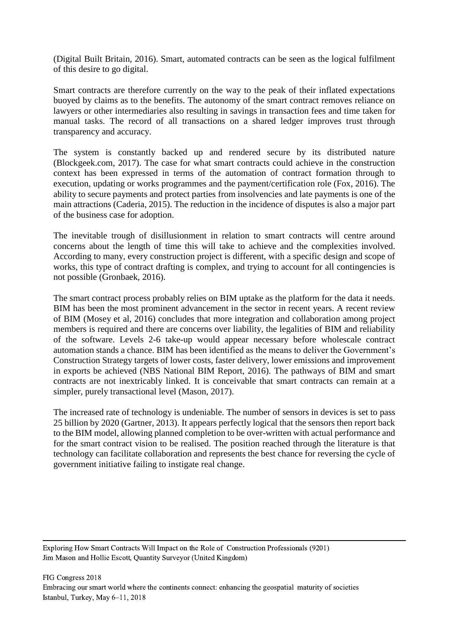(Digital Built Britain, 2016). Smart, automated contracts can be seen as the logical fulfilment of this desire to go digital.

Smart contracts are therefore currently on the way to the peak of their inflated expectations buoyed by claims as to the benefits. The autonomy of the smart contract removes reliance on lawyers or other intermediaries also resulting in savings in transaction fees and time taken for manual tasks. The record of all transactions on a shared ledger improves trust through transparency and accuracy.

The system is constantly backed up and rendered secure by its distributed nature (Blockgeek.com, 2017). The case for what smart contracts could achieve in the construction context has been expressed in terms of the automation of contract formation through to execution, updating or works programmes and the payment/certification role (Fox, 2016). The ability to secure payments and protect parties from insolvencies and late payments is one of the main attractions (Caderia, 2015). The reduction in the incidence of disputes is also a major part of the business case for adoption.

The inevitable trough of disillusionment in relation to smart contracts will centre around concerns about the length of time this will take to achieve and the complexities involved. According to many, every construction project is different, with a specific design and scope of works, this type of contract drafting is complex, and trying to account for all contingencies is not possible (Gronbaek, 2016).

The smart contract process probably relies on BIM uptake as the platform for the data it needs. BIM has been the most prominent advancement in the sector in recent years. A recent review of BIM (Mosey et al, 2016) concludes that more integration and collaboration among project members is required and there are concerns over liability, the legalities of BIM and reliability of the software. Levels 2-6 take-up would appear necessary before wholescale contract automation stands a chance. BIM has been identified as the means to deliver the Government's Construction Strategy targets of lower costs, faster delivery, lower emissions and improvement in exports be achieved (NBS National BIM Report, 2016). The pathways of BIM and smart contracts are not inextricably linked. It is conceivable that smart contracts can remain at a simpler, purely transactional level (Mason, 2017).

The increased rate of technology is undeniable. The number of sensors in devices is set to pass 25 billion by 2020 (Gartner, 2013). It appears perfectly logical that the sensors then report back to the BIM model, allowing planned completion to be over-written with actual performance and for the smart contract vision to be realised. The position reached through the literature is that technology can facilitate collaboration and represents the best chance for reversing the cycle of government initiative failing to instigate real change.

Exploring How Smart Contracts Will Impact on the Role of Construction Professionals (9201) Jim Mason and Hollie Escott, Quantity Surveyor (United Kingdom)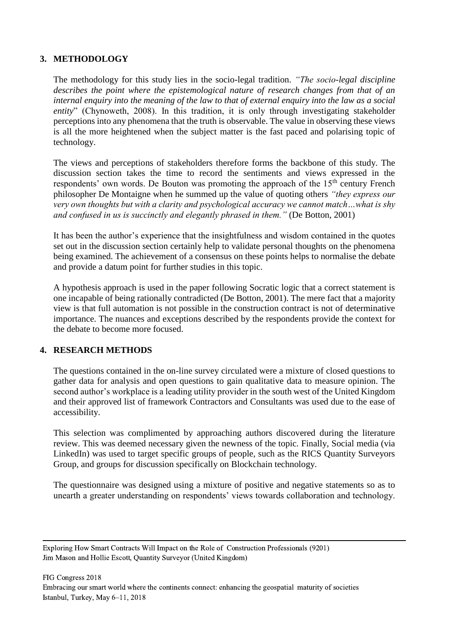### **3. METHODOLOGY**

The methodology for this study lies in the socio-legal tradition. *"The socio-legal discipline describes the point where the epistemological nature of research changes from that of an internal enquiry into the meaning of the law to that of external enquiry into the law as a social entity*" (Chynoweth, 2008). In this tradition, it is only through investigating stakeholder perceptions into any phenomena that the truth is observable. The value in observing these views is all the more heightened when the subject matter is the fast paced and polarising topic of technology.

The views and perceptions of stakeholders therefore forms the backbone of this study. The discussion section takes the time to record the sentiments and views expressed in the respondents' own words. De Bouton was promoting the approach of the  $15<sup>th</sup>$  century French philosopher De Montaigne when he summed up the value of quoting others *"they express our very own thoughts but with a clarity and psychological accuracy we cannot match…what is shy and confused in us is succinctly and elegantly phrased in them."* (De Botton, 2001)

It has been the author's experience that the insightfulness and wisdom contained in the quotes set out in the discussion section certainly help to validate personal thoughts on the phenomena being examined. The achievement of a consensus on these points helps to normalise the debate and provide a datum point for further studies in this topic.

A hypothesis approach is used in the paper following Socratic logic that a correct statement is one incapable of being rationally contradicted (De Botton, 2001). The mere fact that a majority view is that full automation is not possible in the construction contract is not of determinative importance. The nuances and exceptions described by the respondents provide the context for the debate to become more focused.

### **4. RESEARCH METHODS**

The questions contained in the on-line survey circulated were a mixture of closed questions to gather data for analysis and open questions to gain qualitative data to measure opinion. The second author's workplace is a leading utility provider in the south west of the United Kingdom and their approved list of framework Contractors and Consultants was used due to the ease of accessibility.

This selection was complimented by approaching authors discovered during the literature review. This was deemed necessary given the newness of the topic. Finally, Social media (via LinkedIn) was used to target specific groups of people, such as the RICS Quantity Surveyors Group, and groups for discussion specifically on Blockchain technology.

The questionnaire was designed using a mixture of positive and negative statements so as to unearth a greater understanding on respondents' views towards collaboration and technology.

Exploring How Smart Contracts Will Impact on the Role of Construction Professionals (9201) Jim Mason and Hollie Escott, Quantity Surveyor (United Kingdom)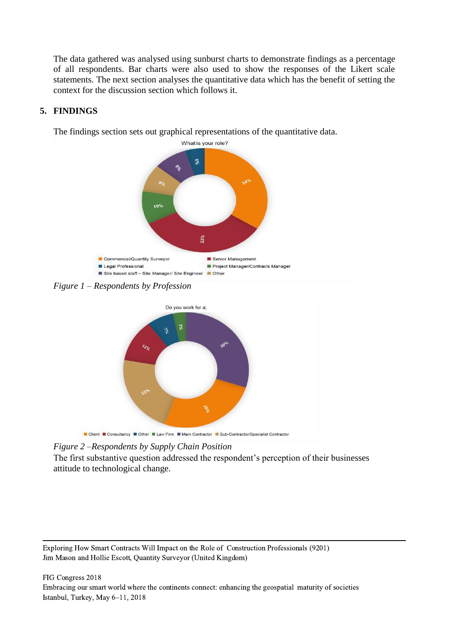The data gathered was analysed using sunburst charts to demonstrate findings as a percentage of all respondents. Bar charts were also used to show the responses of the Likert scale statements. The next section analyses the quantitative data which has the benefit of setting the context for the discussion section which follows it.

## **5. FINDINGS**

The findings section sets out graphical representations of the quantitative data.



*Figure 1 – Respondents by Profession* 



*Figure 2 –Respondents by Supply Chain Position*

The first substantive question addressed the respondent's perception of their businesses attitude to technological change.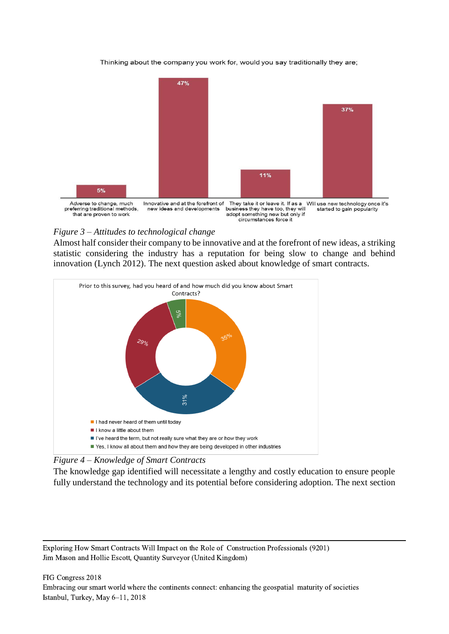Thinking about the company you work for, would you say traditionally they are;



## *Figure 3 – Attitudes to technological change*

Almost half consider their company to be innovative and at the forefront of new ideas, a striking statistic considering the industry has a reputation for being slow to change and behind innovation (Lynch 2012). The next question asked about knowledge of smart contracts.



*Figure 4 – Knowledge of Smart Contracts* 

The knowledge gap identified will necessitate a lengthy and costly education to ensure people fully understand the technology and its potential before considering adoption. The next section

Exploring How Smart Contracts Will Impact on the Role of Construction Professionals (9201) Jim Mason and Hollie Escott, Quantity Surveyor (United Kingdom)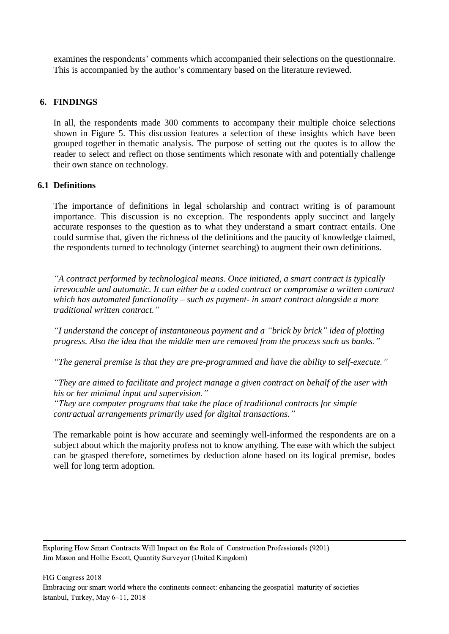examines the respondents' comments which accompanied their selections on the questionnaire. This is accompanied by the author's commentary based on the literature reviewed.

### **6. FINDINGS**

In all, the respondents made 300 comments to accompany their multiple choice selections shown in Figure 5. This discussion features a selection of these insights which have been grouped together in thematic analysis. The purpose of setting out the quotes is to allow the reader to select and reflect on those sentiments which resonate with and potentially challenge their own stance on technology.

### **6.1 Definitions**

The importance of definitions in legal scholarship and contract writing is of paramount importance. This discussion is no exception. The respondents apply succinct and largely accurate responses to the question as to what they understand a smart contract entails. One could surmise that, given the richness of the definitions and the paucity of knowledge claimed, the respondents turned to technology (internet searching) to augment their own definitions.

*"A contract performed by technological means. Once initiated, a smart contract is typically irrevocable and automatic. It can either be a coded contract or compromise a written contract which has automated functionality – such as payment- in smart contract alongside a more traditional written contract."*

*"I understand the concept of instantaneous payment and a "brick by brick" idea of plotting progress. Also the idea that the middle men are removed from the process such as banks."*

*"The general premise is that they are pre-programmed and have the ability to self-execute."*

*"They are aimed to facilitate and project manage a given contract on behalf of the user with his or her minimal input and supervision."*

*"They are computer programs that take the place of traditional contracts for simple contractual arrangements primarily used for digital transactions."*

The remarkable point is how accurate and seemingly well-informed the respondents are on a subject about which the majority profess not to know anything. The ease with which the subject can be grasped therefore, sometimes by deduction alone based on its logical premise, bodes well for long term adoption.

Exploring How Smart Contracts Will Impact on the Role of Construction Professionals (9201) Jim Mason and Hollie Escott, Quantity Surveyor (United Kingdom)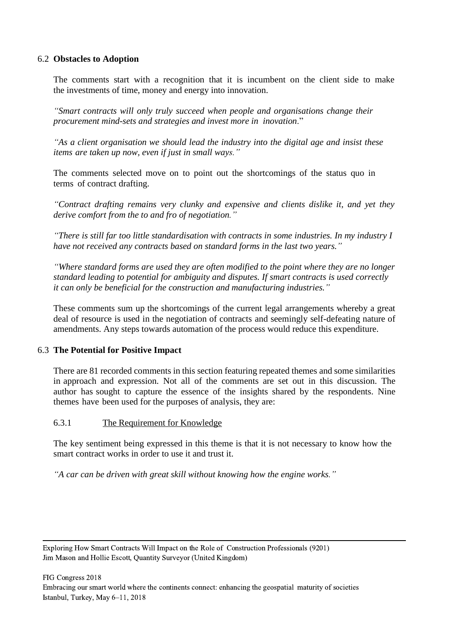#### 6.2 **Obstacles to Adoption**

The comments start with a recognition that it is incumbent on the client side to make the investments of time, money and energy into innovation.

*"Smart contracts will only truly succeed when people and organisations change their procurement mind-sets and strategies and invest more in inovation*."

*"As a client organisation we should lead the industry into the digital age and insist these items are taken up now, even if just in small ways."*

The comments selected move on to point out the shortcomings of the status quo in terms of contract drafting.

*"Contract drafting remains very clunky and expensive and clients dislike it, and yet they derive comfort from the to and fro of negotiation."*

*"There is still far too little standardisation with contracts in some industries. In my industry I have not received any contracts based on standard forms in the last two years."*

*"Where standard forms are used they are often modified to the point where they are no longer standard leading to potential for ambiguity and disputes. If smart contracts is used correctly it can only be beneficial for the construction and manufacturing industries."*

These comments sum up the shortcomings of the current legal arrangements whereby a great deal of resource is used in the negotiation of contracts and seemingly self-defeating nature of amendments. Any steps towards automation of the process would reduce this expenditure.

### 6.3 **The Potential for Positive Impact**

There are 81 recorded comments in this section featuring repeated themes and some similarities in approach and expression. Not all of the comments are set out in this discussion. The author has sought to capture the essence of the insights shared by the respondents. Nine themes have been used for the purposes of analysis, they are:

### 6.3.1 The Requirement for Knowledge

The key sentiment being expressed in this theme is that it is not necessary to know how the smart contract works in order to use it and trust it.

*"A car can be driven with great skill without knowing how the engine works."*

Exploring How Smart Contracts Will Impact on the Role of Construction Professionals (9201) Jim Mason and Hollie Escott, Quantity Surveyor (United Kingdom)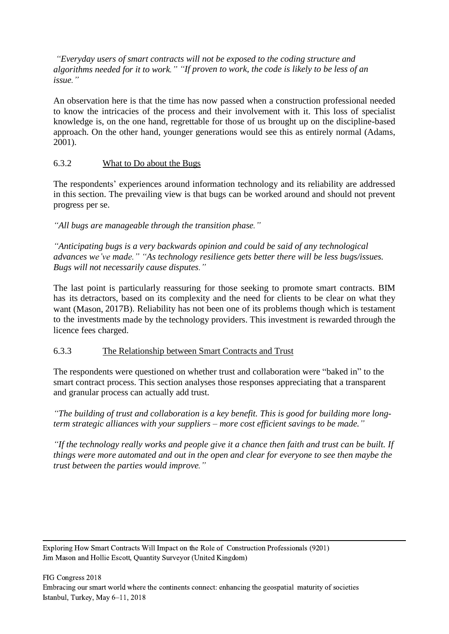*"Everyday users of smart contracts will not be exposed to the coding structure and algorithms needed for it to work." "If proven to work, the code is likely to be less of an issue."*

An observation here is that the time has now passed when a construction professional needed to know the intricacies of the process and their involvement with it. This loss of specialist knowledge is, on the one hand, regrettable for those of us brought up on the discipline-based approach. On the other hand, younger generations would see this as entirely normal (Adams, 2001).

### 6.3.2 What to Do about the Bugs

The respondents' experiences around information technology and its reliability are addressed in this section. The prevailing view is that bugs can be worked around and should not prevent progress per se.

*"All bugs are manageable through the transition phase."*

*"Anticipating bugs is a very backwards opinion and could be said of any technological advances we've made." "As technology resilience gets better there will be less bugs/issues. Bugs will not necessarily cause disputes."* 

The last point is particularly reassuring for those seeking to promote smart contracts. BIM has its detractors, based on its complexity and the need for clients to be clear on what they want (Mason, 2017B). Reliability has not been one of its problems though which is testament to the investments made by the technology providers. This investment is rewarded through the licence fees charged.

#### 6.3.3 The Relationship between Smart Contracts and Trust

The respondents were questioned on whether trust and collaboration were "baked in" to the smart contract process. This section analyses those responses appreciating that a transparent and granular process can actually add trust.

*"The building of trust and collaboration is a key benefit. This is good for building more longterm strategic alliances with your suppliers – more cost efficient savings to be made."*

*"If the technology really works and people give it a chance then faith and trust can be built. If things were more automated and out in the open and clear for everyone to see then maybe the trust between the parties would improve."*

Exploring How Smart Contracts Will Impact on the Role of Construction Professionals (9201) Jim Mason and Hollie Escott, Quantity Surveyor (United Kingdom)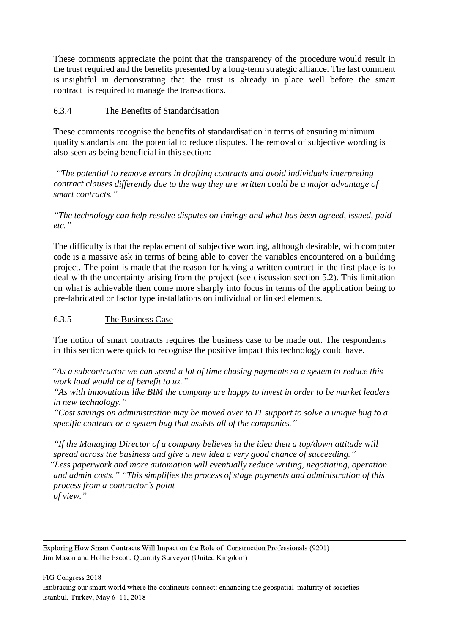These comments appreciate the point that the transparency of the procedure would result in the trust required and the benefits presented by a long-term strategic alliance. The last comment is insightful in demonstrating that the trust is already in place well before the smart contract is required to manage the transactions.

### 6.3.4 The Benefits of Standardisation

These comments recognise the benefits of standardisation in terms of ensuring minimum quality standards and the potential to reduce disputes. The removal of subjective wording is also seen as being beneficial in this section:

*"The potential to remove errors in drafting contracts and avoid individuals interpreting contract clauses differently due to the way they are written could be a major advantage of smart contracts."*

*"The technology can help resolve disputes on timings and what has been agreed, issued, paid etc."* 

The difficulty is that the replacement of subjective wording, although desirable, with computer code is a massive ask in terms of being able to cover the variables encountered on a building project. The point is made that the reason for having a written contract in the first place is to deal with the uncertainty arising from the project (see discussion section 5.2). This limitation on what is achievable then come more sharply into focus in terms of the application being to pre-fabricated or factor type installations on individual or linked elements.

### 6.3.5 The Business Case

The notion of smart contracts requires the business case to be made out. The respondents in this section were quick to recognise the positive impact this technology could have.

*"As a subcontractor we can spend a lot of time chasing payments so a system to reduce this work load would be of benefit to us."*

*"As with innovations like BIM the company are happy to invest in order to be market leaders in new technology."*

*"Cost savings on administration may be moved over to IT support to solve a unique bug to a specific contract or a system bug that assists all of the companies."*

*"If the Managing Director of a company believes in the idea then a top/down attitude will spread across the business and give a new idea a very good chance of succeeding." "Less paperwork and more automation will eventually reduce writing, negotiating, operation and admin costs." "This simplifies the process of stage payments and administration of this process from a contractor's point of view."*

Exploring How Smart Contracts Will Impact on the Role of Construction Professionals (9201) Jim Mason and Hollie Escott, Quantity Surveyor (United Kingdom)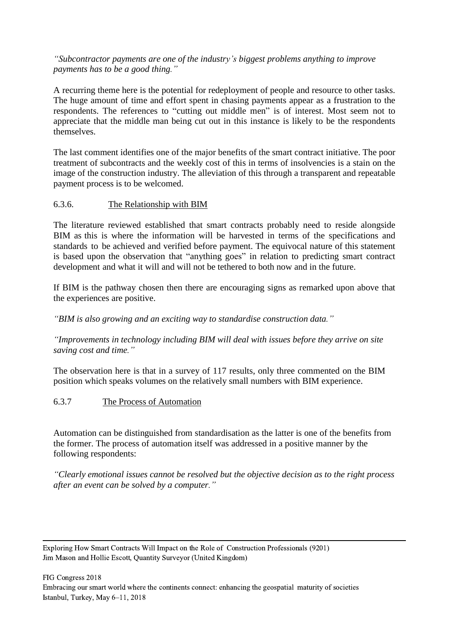### *"Subcontractor payments are one of the industry's biggest problems anything to improve payments has to be a good thing."*

A recurring theme here is the potential for redeployment of people and resource to other tasks. The huge amount of time and effort spent in chasing payments appear as a frustration to the respondents. The references to "cutting out middle men" is of interest. Most seem not to appreciate that the middle man being cut out in this instance is likely to be the respondents themselves.

The last comment identifies one of the major benefits of the smart contract initiative. The poor treatment of subcontracts and the weekly cost of this in terms of insolvencies is a stain on the image of the construction industry. The alleviation of this through a transparent and repeatable payment process is to be welcomed.

### 6.3.6. The Relationship with BIM

The literature reviewed established that smart contracts probably need to reside alongside BIM as this is where the information will be harvested in terms of the specifications and standards to be achieved and verified before payment. The equivocal nature of this statement is based upon the observation that "anything goes" in relation to predicting smart contract development and what it will and will not be tethered to both now and in the future.

If BIM is the pathway chosen then there are encouraging signs as remarked upon above that the experiences are positive.

*"BIM is also growing and an exciting way to standardise construction data."*

*"Improvements in technology including BIM will deal with issues before they arrive on site saving cost and time."*

The observation here is that in a survey of 117 results, only three commented on the BIM position which speaks volumes on the relatively small numbers with BIM experience.

### 6.3.7 The Process of Automation

Automation can be distinguished from standardisation as the latter is one of the benefits from the former. The process of automation itself was addressed in a positive manner by the following respondents:

*"Clearly emotional issues cannot be resolved but the objective decision as to the right process after an event can be solved by a computer."*

Exploring How Smart Contracts Will Impact on the Role of Construction Professionals (9201) Jim Mason and Hollie Escott, Quantity Surveyor (United Kingdom)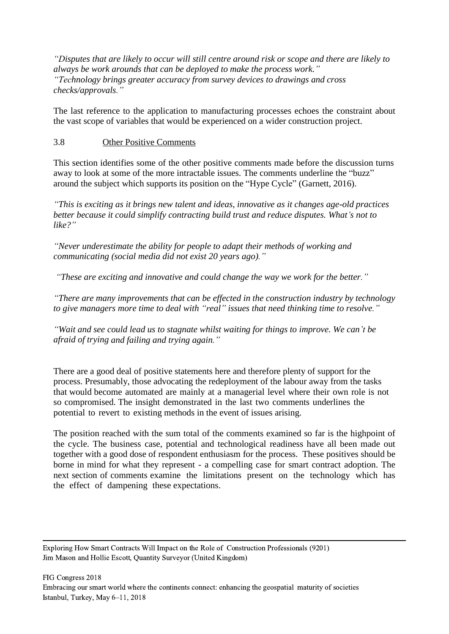*"Disputes that are likely to occur will still centre around risk or scope and there are likely to always be work arounds that can be deployed to make the process work." "Technology brings greater accuracy from survey devices to drawings and cross checks/approvals."*

The last reference to the application to manufacturing processes echoes the constraint about the vast scope of variables that would be experienced on a wider construction project.

### 3.8 Other Positive Comments

This section identifies some of the other positive comments made before the discussion turns away to look at some of the more intractable issues. The comments underline the "buzz" around the subject which supports its position on the "Hype Cycle" (Garnett, 2016).

*"This is exciting as it brings new talent and ideas, innovative as it changes age-old practices better because it could simplify contracting build trust and reduce disputes. What's not to like?"*

*"Never underestimate the ability for people to adapt their methods of working and communicating (social media did not exist 20 years ago)."*

*"These are exciting and innovative and could change the way we work for the better."*

*"There are many improvements that can be effected in the construction industry by technology to give managers more time to deal with "real" issues that need thinking time to resolve."*

*"Wait and see could lead us to stagnate whilst waiting for things to improve. We can't be afraid of trying and failing and trying again."*

There are a good deal of positive statements here and therefore plenty of support for the process. Presumably, those advocating the redeployment of the labour away from the tasks that would become automated are mainly at a managerial level where their own role is not so compromised. The insight demonstrated in the last two comments underlines the potential to revert to existing methods in the event of issues arising.

The position reached with the sum total of the comments examined so far is the highpoint of the cycle. The business case, potential and technological readiness have all been made out together with a good dose of respondent enthusiasm for the process. These positives should be borne in mind for what they represent - a compelling case for smart contract adoption. The next section of comments examine the limitations present on the technology which has the effect of dampening these expectations.

Exploring How Smart Contracts Will Impact on the Role of Construction Professionals (9201) Jim Mason and Hollie Escott, Quantity Surveyor (United Kingdom)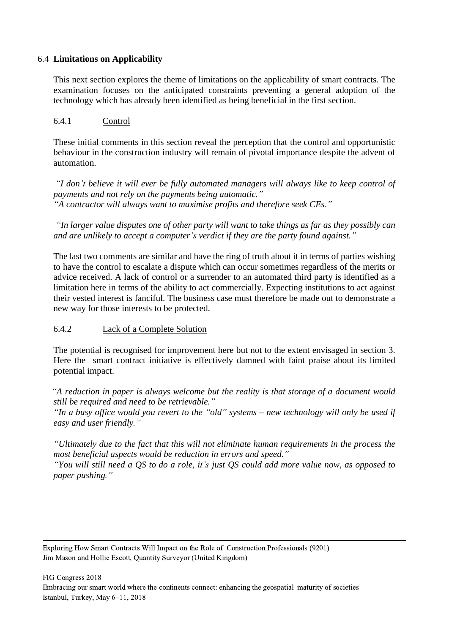#### 6.4 **Limitations on Applicability**

This next section explores the theme of limitations on the applicability of smart contracts. The examination focuses on the anticipated constraints preventing a general adoption of the technology which has already been identified as being beneficial in the first section.

#### 6.4.1 Control

These initial comments in this section reveal the perception that the control and opportunistic behaviour in the construction industry will remain of pivotal importance despite the advent of automation.

*"I don't believe it will ever be fully automated managers will always like to keep control of payments and not rely on the payments being automatic." "A contractor will always want to maximise profits and therefore seek CEs."*

*"In larger value disputes one of other party will want to take things as far as they possibly can and are unlikely to accept a computer's verdict if they are the party found against."* 

The last two comments are similar and have the ring of truth about it in terms of parties wishing to have the control to escalate a dispute which can occur sometimes regardless of the merits or advice received. A lack of control or a surrender to an automated third party is identified as a limitation here in terms of the ability to act commercially. Expecting institutions to act against their vested interest is fanciful. The business case must therefore be made out to demonstrate a new way for those interests to be protected.

### 6.4.2 Lack of a Complete Solution

The potential is recognised for improvement here but not to the extent envisaged in section 3. Here the smart contract initiative is effectively damned with faint praise about its limited potential impact.

*"A reduction in paper is always welcome but the reality is that storage of a document would still be required and need to be retrievable."*

*"In a busy office would you revert to the "old" systems – new technology will only be used if easy and user friendly."*

*"Ultimately due to the fact that this will not eliminate human requirements in the process the most beneficial aspects would be reduction in errors and speed."*

*"You will still need a QS to do a role, it's just QS could add more value now, as opposed to paper pushing."*

Exploring How Smart Contracts Will Impact on the Role of Construction Professionals (9201) Jim Mason and Hollie Escott, Quantity Surveyor (United Kingdom)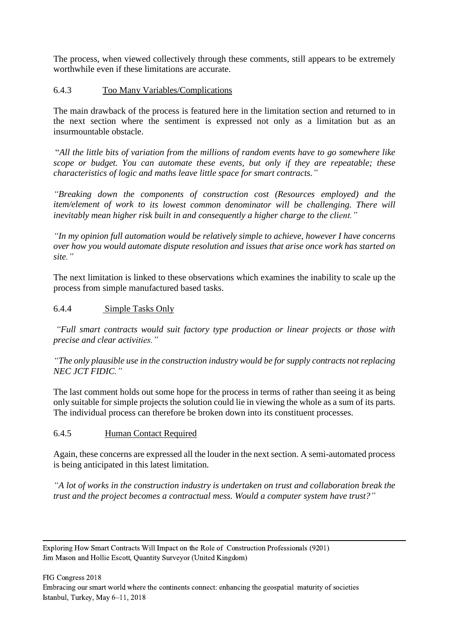The process, when viewed collectively through these comments, still appears to be extremely worthwhile even if these limitations are accurate.

## 6.4.3 Too Many Variables/Complications

The main drawback of the process is featured here in the limitation section and returned to in the next section where the sentiment is expressed not only as a limitation but as an insurmountable obstacle.

"*All the little bits of variation from the millions of random events have to go somewhere like scope or budget. You can automate these events, but only if they are repeatable; these characteristics of logic and maths leave little space for smart contracts."*

*"Breaking down the components of construction cost (Resources employed) and the item/element of work to its lowest common denominator will be challenging. There will inevitably mean higher risk built in and consequently a higher charge to the client."*

*"In my opinion full automation would be relatively simple to achieve, however I have concerns over how you would automate dispute resolution and issues that arise once work has started on site."*

The next limitation is linked to these observations which examines the inability to scale up the process from simple manufactured based tasks.

### 6.4.4 Simple Tasks Only

*"Full smart contracts would suit factory type production or linear projects or those with precise and clear activities."*

*"The only plausible use in the construction industry would be for supply contracts not replacing NEC JCT FIDIC."*

The last comment holds out some hope for the process in terms of rather than seeing it as being only suitable for simple projects the solution could lie in viewing the whole as a sum of its parts. The individual process can therefore be broken down into its constituent processes.

### 6.4.5 Human Contact Required

Again, these concerns are expressed all the louder in the next section. A semi-automated process is being anticipated in this latest limitation.

*"A lot of works in the construction industry is undertaken on trust and collaboration break the trust and the project becomes a contractual mess. Would a computer system have trust?"*

Exploring How Smart Contracts Will Impact on the Role of Construction Professionals (9201) Jim Mason and Hollie Escott, Quantity Surveyor (United Kingdom)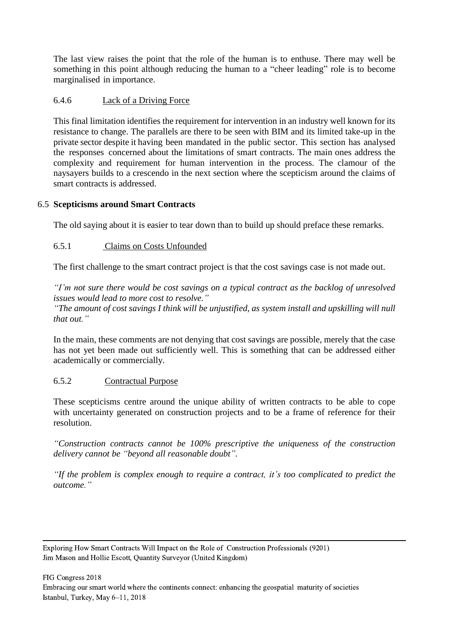The last view raises the point that the role of the human is to enthuse. There may well be something in this point although reducing the human to a "cheer leading" role is to become marginalised in importance.

### 6.4.6 Lack of a Driving Force

This final limitation identifies the requirement for intervention in an industry well known for its resistance to change. The parallels are there to be seen with BIM and its limited take-up in the private sector despite it having been mandated in the public sector. This section has analysed the responses concerned about the limitations of smart contracts. The main ones address the complexity and requirement for human intervention in the process. The clamour of the naysayers builds to a crescendo in the next section where the scepticism around the claims of smart contracts is addressed.

### 6.5 **Scepticisms around Smart Contracts**

The old saying about it is easier to tear down than to build up should preface these remarks.

#### 6.5.1 Claims on Costs Unfounded

The first challenge to the smart contract project is that the cost savings case is not made out.

*"I'm not sure there would be cost savings on a typical contract as the backlog of unresolved issues would lead to more cost to resolve."*

*"The amount of cost savings I think will be unjustified, as system install and upskilling will null that out."*

In the main, these comments are not denying that cost savings are possible, merely that the case has not yet been made out sufficiently well. This is something that can be addressed either academically or commercially.

### 6.5.2 Contractual Purpose

These scepticisms centre around the unique ability of written contracts to be able to cope with uncertainty generated on construction projects and to be a frame of reference for their resolution.

*"Construction contracts cannot be 100% prescriptive the uniqueness of the construction delivery cannot be "beyond all reasonable doubt".*

*"If the problem is complex enough to require a contract, it's too complicated to predict the outcome."*

Exploring How Smart Contracts Will Impact on the Role of Construction Professionals (9201) Jim Mason and Hollie Escott, Quantity Surveyor (United Kingdom)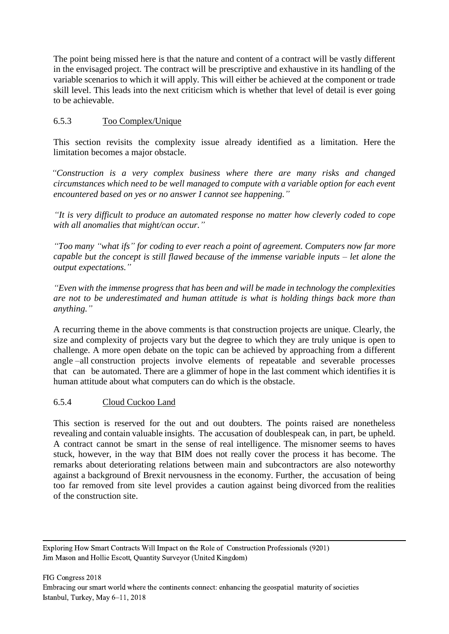The point being missed here is that the nature and content of a contract will be vastly different in the envisaged project. The contract will be prescriptive and exhaustive in its handling of the variable scenarios to which it will apply. This will either be achieved at the component or trade skill level. This leads into the next criticism which is whether that level of detail is ever going to be achievable.

## 6.5.3 Too Complex/Unique

This section revisits the complexity issue already identified as a limitation. Here the limitation becomes a major obstacle.

*"Construction is a very complex business where there are many risks and changed circumstances which need to be well managed to compute with a variable option for each event encountered based on yes or no answer I cannot see happening."*

*"It is very difficult to produce an automated response no matter how cleverly coded to cope with all anomalies that might/can occur."*

*"Too many "what ifs" for coding to ever reach a point of agreement. Computers now far more capable but the concept is still flawed because of the immense variable inputs – let alone the output expectations."*

*"Even with the immense progress that has been and will be made in technology the complexities are not to be underestimated and human attitude is what is holding things back more than anything."*

A recurring theme in the above comments is that construction projects are unique. Clearly, the size and complexity of projects vary but the degree to which they are truly unique is open to challenge. A more open debate on the topic can be achieved by approaching from a different angle –all construction projects involve elements of repeatable and severable processes that can be automated. There are a glimmer of hope in the last comment which identifies it is human attitude about what computers can do which is the obstacle.

## 6.5.4 Cloud Cuckoo Land

This section is reserved for the out and out doubters. The points raised are nonetheless revealing and contain valuable insights. The accusation of doublespeak can, in part, be upheld. A contract cannot be smart in the sense of real intelligence. The misnomer seems to haves stuck, however, in the way that BIM does not really cover the process it has become. The remarks about deteriorating relations between main and subcontractors are also noteworthy against a background of Brexit nervousness in the economy. Further, the accusation of being too far removed from site level provides a caution against being divorced from the realities of the construction site.

Exploring How Smart Contracts Will Impact on the Role of Construction Professionals (9201) Jim Mason and Hollie Escott, Quantity Surveyor (United Kingdom)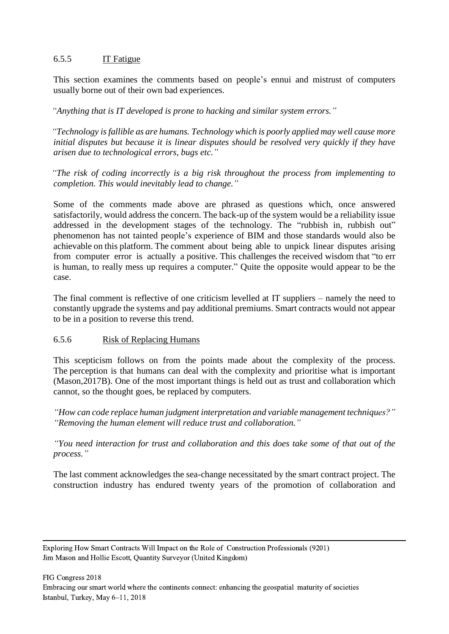### 6.5.5 IT Fatigue

This section examines the comments based on people's ennui and mistrust of computers usually borne out of their own bad experiences.

*"Anything that is IT developed is prone to hacking and similar system errors."*

*"Technology is fallible as are humans. Technology which is poorly applied may well cause more initial disputes but because it is linear disputes should be resolved very quickly if they have arisen due to technological errors, bugs etc."*

*"The risk of coding incorrectly is a big risk throughout the process from implementing to completion. This would inevitably lead to change."*

Some of the comments made above are phrased as questions which, once answered satisfactorily, would address the concern. The back-up of the system would be a reliability issue addressed in the development stages of the technology. The "rubbish in, rubbish out" phenomenon has not tainted people's experience of BIM and those standards would also be achievable on this platform. The comment about being able to unpick linear disputes arising from computer error is actually a positive. This challenges the received wisdom that "to err is human, to really mess up requires a computer." Quite the opposite would appear to be the case.

The final comment is reflective of one criticism levelled at IT suppliers – namely the need to constantly upgrade the systems and pay additional premiums. Smart contracts would not appear to be in a position to reverse this trend.

### 6.5.6 Risk of Replacing Humans

This scepticism follows on from the points made about the complexity of the process. The perception is that humans can deal with the complexity and prioritise what is important (Mason,2017B). One of the most important things is held out as trust and collaboration which cannot, so the thought goes, be replaced by computers.

*"How can code replace human judgment interpretation and variable management techniques?" "Removing the human element will reduce trust and collaboration."*

*"You need interaction for trust and collaboration and this does take some of that out of the process."* 

The last comment acknowledges the sea-change necessitated by the smart contract project. The construction industry has endured twenty years of the promotion of collaboration and

Exploring How Smart Contracts Will Impact on the Role of Construction Professionals (9201) Jim Mason and Hollie Escott, Quantity Surveyor (United Kingdom)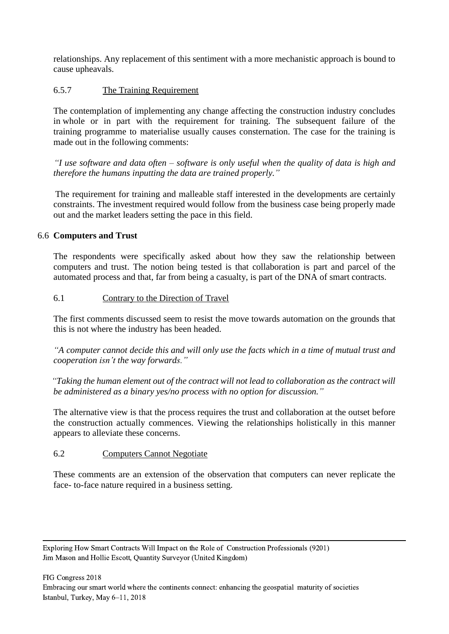relationships. Any replacement of this sentiment with a more mechanistic approach is bound to cause upheavals.

### 6.5.7 The Training Requirement

The contemplation of implementing any change affecting the construction industry concludes in whole or in part with the requirement for training. The subsequent failure of the training programme to materialise usually causes consternation. The case for the training is made out in the following comments:

*"I use software and data often – software is only useful when the quality of data is high and therefore the humans inputting the data are trained properly."*

The requirement for training and malleable staff interested in the developments are certainly constraints. The investment required would follow from the business case being properly made out and the market leaders setting the pace in this field.

#### 6.6 **Computers and Trust**

The respondents were specifically asked about how they saw the relationship between computers and trust. The notion being tested is that collaboration is part and parcel of the automated process and that, far from being a casualty, is part of the DNA of smart contracts.

#### 6.1 Contrary to the Direction of Travel

The first comments discussed seem to resist the move towards automation on the grounds that this is not where the industry has been headed.

*"A computer cannot decide this and will only use the facts which in a time of mutual trust and cooperation isn't the way forwards."*

*"Taking the human element out of the contract will not lead to collaboration as the contract will be administered as a binary yes/no process with no option for discussion."*

The alternative view is that the process requires the trust and collaboration at the outset before the construction actually commences. Viewing the relationships holistically in this manner appears to alleviate these concerns.

### 6.2 Computers Cannot Negotiate

These comments are an extension of the observation that computers can never replicate the face- to-face nature required in a business setting.

Exploring How Smart Contracts Will Impact on the Role of Construction Professionals (9201) Jim Mason and Hollie Escott, Quantity Surveyor (United Kingdom)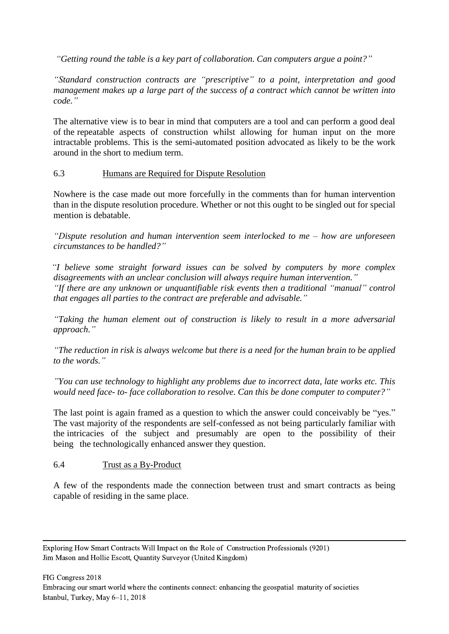*"Getting round the table is a key part of collaboration. Can computers argue a point?"*

*"Standard construction contracts are "prescriptive" to a point, interpretation and good management makes up a large part of the success of a contract which cannot be written into code."*

The alternative view is to bear in mind that computers are a tool and can perform a good deal of the repeatable aspects of construction whilst allowing for human input on the more intractable problems. This is the semi-automated position advocated as likely to be the work around in the short to medium term.

### 6.3 Humans are Required for Dispute Resolution

Nowhere is the case made out more forcefully in the comments than for human intervention than in the dispute resolution procedure. Whether or not this ought to be singled out for special mention is debatable.

*"Dispute resolution and human intervention seem interlocked to me – how are unforeseen circumstances to be handled?"*

*"I believe some straight forward issues can be solved by computers by more complex disagreements with an unclear conclusion will always require human intervention." "If there are any unknown or unquantifiable risk events then a traditional "manual" control that engages all parties to the contract are preferable and advisable."*

*"Taking the human element out of construction is likely to result in a more adversarial approach."*

*"The reduction in risk is always welcome but there is a need for the human brain to be applied to the words."*

*"You can use technology to highlight any problems due to incorrect data, late works etc. This would need face- to- face collaboration to resolve. Can this be done computer to computer?"*

The last point is again framed as a question to which the answer could conceivably be "yes." The vast majority of the respondents are self-confessed as not being particularly familiar with the intricacies of the subject and presumably are open to the possibility of their being the technologically enhanced answer they question.

### 6.4 Trust as a By-Product

A few of the respondents made the connection between trust and smart contracts as being capable of residing in the same place.

Exploring How Smart Contracts Will Impact on the Role of Construction Professionals (9201) Jim Mason and Hollie Escott, Quantity Surveyor (United Kingdom)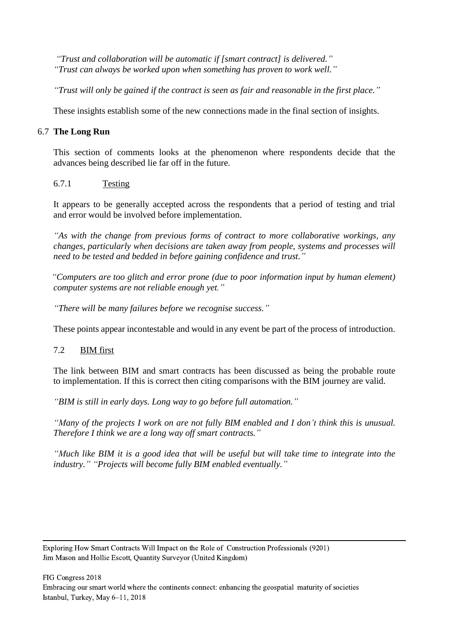*"Trust and collaboration will be automatic if [smart contract] is delivered." "Trust can always be worked upon when something has proven to work well."*

*"Trust will only be gained if the contract is seen as fair and reasonable in the first place."*

These insights establish some of the new connections made in the final section of insights.

## 6.7 **The Long Run**

This section of comments looks at the phenomenon where respondents decide that the advances being described lie far off in the future.

### 6.7.1 Testing

It appears to be generally accepted across the respondents that a period of testing and trial and error would be involved before implementation.

*"As with the change from previous forms of contract to more collaborative workings, any changes, particularly when decisions are taken away from people, systems and processes will need to be tested and bedded in before gaining confidence and trust."*

*"Computers are too glitch and error prone (due to poor information input by human element) computer systems are not reliable enough yet."*

*"There will be many failures before we recognise success."*

These points appear incontestable and would in any event be part of the process of introduction.

### 7.2 BIM first

The link between BIM and smart contracts has been discussed as being the probable route to implementation. If this is correct then citing comparisons with the BIM journey are valid.

*"BIM is still in early days. Long way to go before full automation."*

*"Many of the projects I work on are not fully BIM enabled and I don't think this is unusual. Therefore I think we are a long way off smart contracts."*

*"Much like BIM it is a good idea that will be useful but will take time to integrate into the industry." "Projects will become fully BIM enabled eventually."*

Exploring How Smart Contracts Will Impact on the Role of Construction Professionals (9201) Jim Mason and Hollie Escott, Quantity Surveyor (United Kingdom)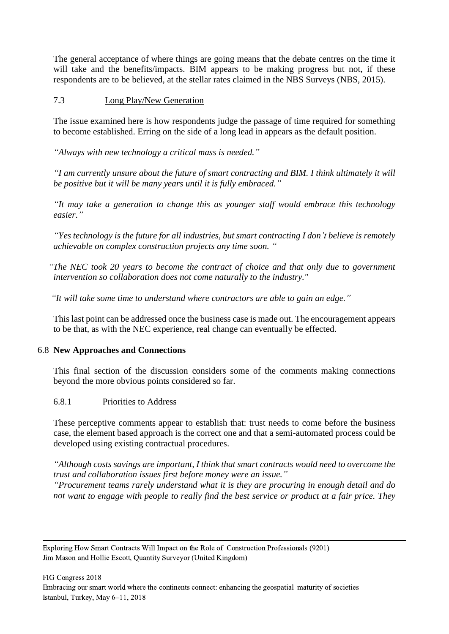The general acceptance of where things are going means that the debate centres on the time it will take and the benefits/impacts. BIM appears to be making progress but not, if these respondents are to be believed, at the stellar rates claimed in the NBS Surveys (NBS, 2015).

### 7.3 Long Play/New Generation

The issue examined here is how respondents judge the passage of time required for something to become established. Erring on the side of a long lead in appears as the default position.

*"Always with new technology a critical mass is needed."*

*"I am currently unsure about the future of smart contracting and BIM. I think ultimately it will be positive but it will be many years until it is fully embraced."*

*"It may take a generation to change this as younger staff would embrace this technology easier."*

*"Yes technology is the future for all industries, but smart contracting I don't believe is remotely achievable on complex construction projects any time soon. "*

*"The NEC took 20 years to become the contract of choice and that only due to government intervention so collaboration does not come naturally to the industry."*

*"It will take some time to understand where contractors are able to gain an edge."*

This last point can be addressed once the business case is made out. The encouragement appears to be that, as with the NEC experience, real change can eventually be effected.

#### 6.8 **New Approaches and Connections**

This final section of the discussion considers some of the comments making connections beyond the more obvious points considered so far.

#### 6.8.1 Priorities to Address

These perceptive comments appear to establish that: trust needs to come before the business case, the element based approach is the correct one and that a semi-automated process could be developed using existing contractual procedures.

*"Although costs savings are important, I think that smart contracts would need to overcome the trust and collaboration issues first before money were an issue."*

*"Procurement teams rarely understand what it is they are procuring in enough detail and do not want to engage with people to really find the best service or product at a fair price. They* 

Exploring How Smart Contracts Will Impact on the Role of Construction Professionals (9201) Jim Mason and Hollie Escott, Quantity Surveyor (United Kingdom)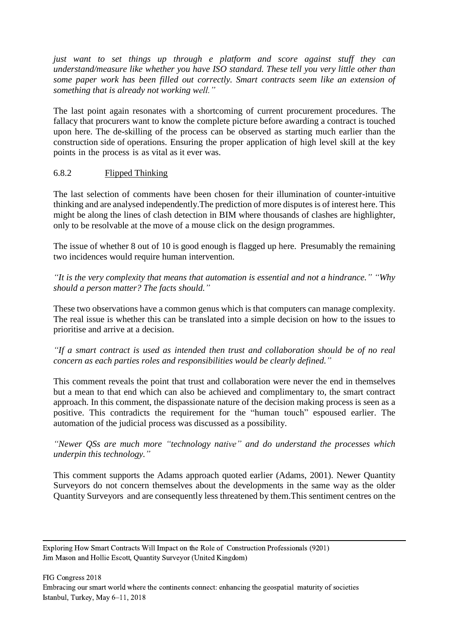*just want to set things up through e platform and score against stuff they can understand/measure like whether you have ISO standard. These tell you very little other than some paper work has been filled out correctly. Smart contracts seem like an extension of something that is already not working well."*

The last point again resonates with a shortcoming of current procurement procedures. The fallacy that procurers want to know the complete picture before awarding a contract is touched upon here. The de-skilling of the process can be observed as starting much earlier than the construction side of operations. Ensuring the proper application of high level skill at the key points in the process is as vital as it ever was.

### 6.8.2 Flipped Thinking

The last selection of comments have been chosen for their illumination of counter-intuitive thinking and are analysed independently.The prediction of more disputes is of interest here. This might be along the lines of clash detection in BIM where thousands of clashes are highlighter, only to be resolvable at the move of a mouse click on the design programmes.

The issue of whether 8 out of 10 is good enough is flagged up here. Presumably the remaining two incidences would require human intervention.

*"It is the very complexity that means that automation is essential and not a hindrance." "Why should a person matter? The facts should."*

These two observations have a common genus which is that computers can manage complexity. The real issue is whether this can be translated into a simple decision on how to the issues to prioritise and arrive at a decision.

*"If a smart contract is used as intended then trust and collaboration should be of no real concern as each parties roles and responsibilities would be clearly defined."*

This comment reveals the point that trust and collaboration were never the end in themselves but a mean to that end which can also be achieved and complimentary to, the smart contract approach. In this comment, the dispassionate nature of the decision making process is seen as a positive. This contradicts the requirement for the "human touch" espoused earlier. The automation of the judicial process was discussed as a possibility.

*"Newer QSs are much more "technology native" and do understand the processes which underpin this technology."*

This comment supports the Adams approach quoted earlier (Adams, 2001). Newer Quantity Surveyors do not concern themselves about the developments in the same way as the older Quantity Surveyors and are consequently less threatened by them.This sentiment centres on the

Exploring How Smart Contracts Will Impact on the Role of Construction Professionals (9201) Jim Mason and Hollie Escott, Quantity Surveyor (United Kingdom)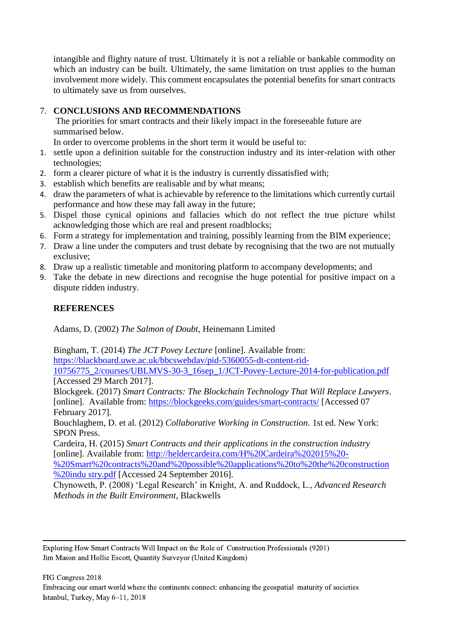intangible and flighty nature of trust. Ultimately it is not a reliable or bankable commodity on which an industry can be built. Ultimately, the same limitation on trust applies to the human involvement more widely. This comment encapsulates the potential benefits for smart contracts to ultimately save us from ourselves.

## 7. **CONCLUSIONS AND RECOMMENDATIONS**

The priorities for smart contracts and their likely impact in the foreseeable future are summarised below.

In order to overcome problems in the short term it would be useful to:

- 1. settle upon a definition suitable for the construction industry and its inter-relation with other technologies;
- 2. form a clearer picture of what it is the industry is currently dissatisfied with;
- 3. establish which benefits are realisable and by what means;
- 4. draw the parameters of what is achievable by reference to the limitations which currently curtail performance and how these may fall away in the future;
- 5. Dispel those cynical opinions and fallacies which do not reflect the true picture whilst acknowledging those which are real and present roadblocks;
- 6. Form a strategy for implementation and training, possibly learning from the BIM experience;
- 7. Draw a line under the computers and trust debate by recognising that the two are not mutually exclusive;
- 8. Draw up a realistic timetable and monitoring platform to accompany developments; and
- 9. Take the debate in new directions and recognise the huge potential for positive impact on a dispute ridden industry.

## **REFERENCES**

Adams, D. (2002) *The Salmon of Doubt,* Heinemann Limited

Bingham, T. (2014) *The JCT Povey Lecture* [online]. Available from:

[https://blackboard.uwe.ac.uk/bbcswebdav/pid-5360055-dt-content-rid-](https://blackboard.uwe.ac.uk/bbcswebdav/pid-5360055-dt-content-rid-10756775_2/courses/UBLMVS-30-3_16sep_1/JCT-Povey-Lecture-2014-for-publication.pdf)

[10756775\\_2/courses/UBLMVS-30-3\\_16sep\\_1/JCT-Povey-Lecture-2014-for-publication.pdf](https://blackboard.uwe.ac.uk/bbcswebdav/pid-5360055-dt-content-rid-10756775_2/courses/UBLMVS-30-3_16sep_1/JCT-Povey-Lecture-2014-for-publication.pdf) [Accessed 29 March 2017].

Blockgeek. (2017) *Smart Contracts: The Blockchain Technology That Will Replace Lawyers*. [online]. Available from:<https://blockgeeks.com/guides/smart-contracts/> [Accessed 07 February 2017].

Bouchlaghem, D. et al. (2012) *Collaborative Working in Construction.* 1st ed. New York: SPON Press.

Cardeira, H. (2015) *Smart Contracts and their applications in the construction industry*  [online]. Available from: [http://heldercardeira.com/H%20Cardeira%202015%20-](http://heldercardeira.com/H%20Cardeira%202015%20-%20Smart%20contracts%20and%20possible%20applications%20to%20the%20construction%20industry.pdf)

[%20Smart%20contracts%20and%20possible%20applications%20to%20the%20construction](http://heldercardeira.com/H%20Cardeira%202015%20-%20Smart%20contracts%20and%20possible%20applications%20to%20the%20construction%20industry.pdf) [%20indu stry.pdf](http://heldercardeira.com/H%20Cardeira%202015%20-%20Smart%20contracts%20and%20possible%20applications%20to%20the%20construction%20industry.pdf) [Accessed 24 September 2016].

Chynoweth, P. (2008) 'Legal Research' in Knight, A. and Ruddock, L., *Advanced Research Methods in the Built Environment*, Blackwells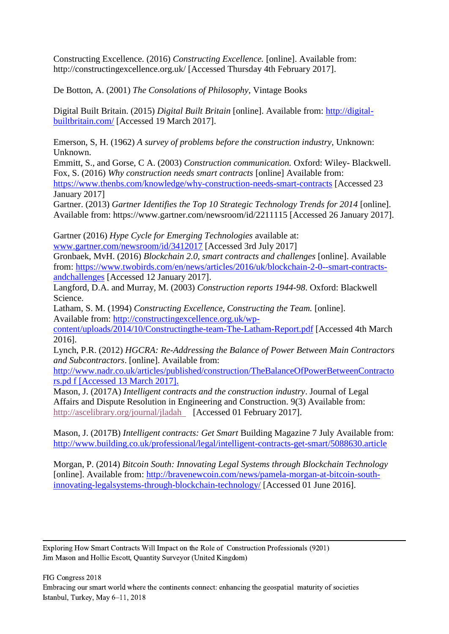Constructing Excellence. (2016) *Constructing Excellence.* [online]. Available from: http://constructingexcellence.org.uk/ [Accessed Thursday 4th February 2017].

De Botton, A. (2001) *The Consolations of Philosophy,* Vintage Books

Digital Built Britain. (2015) *Digital Built Britain* [online]. Available from[:](http://digital-built-britain.com/) [http://digital](http://digital-built-britain.com/)[builtbritain.com/](http://digital-built-britain.com/) [Accessed 19 March 2017].

Emerson, S, H. (1962) *A survey of problems before the construction industry,* Unknown: Unknown.

Emmitt, S., and Gorse, C A. (2003) *Construction communication.* Oxford: Wiley- Blackwell. Fox, S. (2016) *Why construction needs smart contracts* [online] Available from:

<https://www.thenbs.com/knowledge/why-construction-needs-smart-contracts> [Accessed 23 January 2017]

Gartner. (2013) *Gartner Identifies the Top 10 Strategic Technology Trends for 2014* [online]. Available from: https://www.gartner.com/newsroom/id/2211115 [Accessed 26 January 2017].

Gartner (2016) *Hype Cycle for Emerging Technologies* available at: [www.gartner.com/newsroom/id/3412017](http://www.gartner.com/newsroom/id/3412017) [\[](http://www.gartner.com/newsroom/id/3412017)Accessed 3rd July 2017]

Gronbaek, MvH. (2016) *Blockchain 2.0, smart contracts and challenges* [online]. Available from: <https://www.twobirds.com/en/news/articles/2016/uk/blockchain>[-2-0--smart-contracts](https://www.twobirds.com/en/news/articles/2016/uk/blockchain-2-0--smart-contracts-and-challenges)[andchallenges](https://www.twobirds.com/en/news/articles/2016/uk/blockchain-2-0--smart-contracts-and-challenges) [\[](https://www.twobirds.com/en/news/articles/2016/uk/blockchain-2-0--smart-contracts-and-challenges)Accessed 12 January 2017].

Langford, D.A. and Murray, M. (2003) *Construction reports 1944-98*. Oxford: Blackwell Science.

Latham, S. M. (1994) *Constructing Excellence, Constructing the Team.* [online]. Available from[:](http://constructingexcellence.org.uk/wp-content/uploads/2014/10/Constructing-the-team-The-Latham-Report.pdf) [http://constructingexcellence.org.uk/wp-](http://constructingexcellence.org.uk/wp-content/uploads/2014/10/Constructing-the-team-The-Latham-Report.pdf)

[content/uploads/2014/10/Constructingthe-team-The-Latham-Report.pdf](http://constructingexcellence.org.uk/wp-content/uploads/2014/10/Constructing-the-team-The-Latham-Report.pdf) [\[](http://constructingexcellence.org.uk/wp-content/uploads/2014/10/Constructing-the-team-The-Latham-Report.pdf)Accessed 4th March 2016].

Lynch, P.R. (2012) *HGCRA: Re-Addressing the Balance of Power Between Main Contractors and Subcontractors*. [online]. Available from:

[http://www.nadr.co.uk/articles/published/construction/TheBalanceOfPowerBetweenContracto](http://www.nadr.co.uk/articles/published/construction/TheBalanceOfPowerBetweenContractors.pdf) [rs.pd f](http://www.nadr.co.uk/articles/published/construction/TheBalanceOfPowerBetweenContractors.pdf) [Accessed 13 March 2017].

Mason, J. (2017A) *Intelligent contracts and the construction industry*. Journal of Legal Affairs and Dispute Resolution in Engineering and Construction. 9(3) Available from: <http://ascelibrary.org/journal/jladah> [Accessed 01 February 2017].

Mason, J. (2017B) *Intelligent contracts: Get Smart* Building Magazine 7 July Available from: <http://www.building.co.uk/professional/legal/intelligent-contracts-get-smart/5088630.article>

Morgan, P. (2014) *Bitcoin South: Innovating Legal Systems through Blockchain Technology* [online]. Available from[:](http://bravenewcoin.com/news/pamela-morgan-at-bitcoin-south-innovating-legal-systems-through-blockchain-technology/) [http://bravenewcoin.com/news/pamela-morgan-at-bitcoin-south](http://bravenewcoin.com/news/pamela-morgan-at-bitcoin-south-innovating-legal-systems-through-blockchain-technology/)[innovating-legalsystems-through-blockchain-technology/](http://bravenewcoin.com/news/pamela-morgan-at-bitcoin-south-innovating-legal-systems-through-blockchain-technology/) [Accessed 01 June 2016].